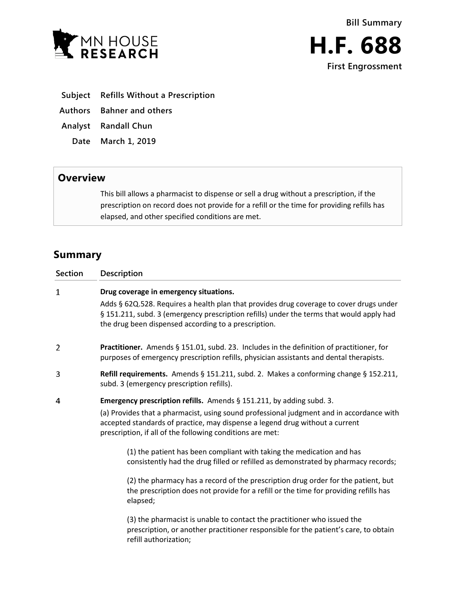

- **Subject Refills Without a Prescription**
- **Authors Bahner and others**
- **Analyst Randall Chun**
	- **Date March 1, 2019**

## **Overview**

This bill allows a pharmacist to dispense or sell a drug without a prescription, if the prescription on record does not provide for a refill or the time for providing refills has elapsed, and other specified conditions are met.

## **Summary**

| <b>Section</b> | Description                                                                                                                                                                                                                                 |
|----------------|---------------------------------------------------------------------------------------------------------------------------------------------------------------------------------------------------------------------------------------------|
| $\mathbf 1$    | Drug coverage in emergency situations.                                                                                                                                                                                                      |
|                | Adds § 62Q.528. Requires a health plan that provides drug coverage to cover drugs under<br>§ 151.211, subd. 3 (emergency prescription refills) under the terms that would apply had<br>the drug been dispensed according to a prescription. |
| 2              | Practitioner. Amends § 151.01, subd. 23. Includes in the definition of practitioner, for<br>purposes of emergency prescription refills, physician assistants and dental therapists.                                                         |
| 3              | Refill requirements. Amends § 151.211, subd. 2. Makes a conforming change § 152.211,<br>subd. 3 (emergency prescription refills).                                                                                                           |
| 4              | Emergency prescription refills. Amends § 151.211, by adding subd. 3.                                                                                                                                                                        |
|                | (a) Provides that a pharmacist, using sound professional judgment and in accordance with<br>accepted standards of practice, may dispense a legend drug without a current<br>prescription, if all of the following conditions are met:       |
|                | (1) the patient has been compliant with taking the medication and has<br>consistently had the drug filled or refilled as demonstrated by pharmacy records;                                                                                  |
|                | (2) the pharmacy has a record of the prescription drug order for the patient, but<br>the prescription does not provide for a refill or the time for providing refills has<br>elapsed;                                                       |
|                | (3) the pharmacist is unable to contact the practitioner who issued the<br>prescription, or another practitioner responsible for the patient's care, to obtain<br>refill authorization;                                                     |